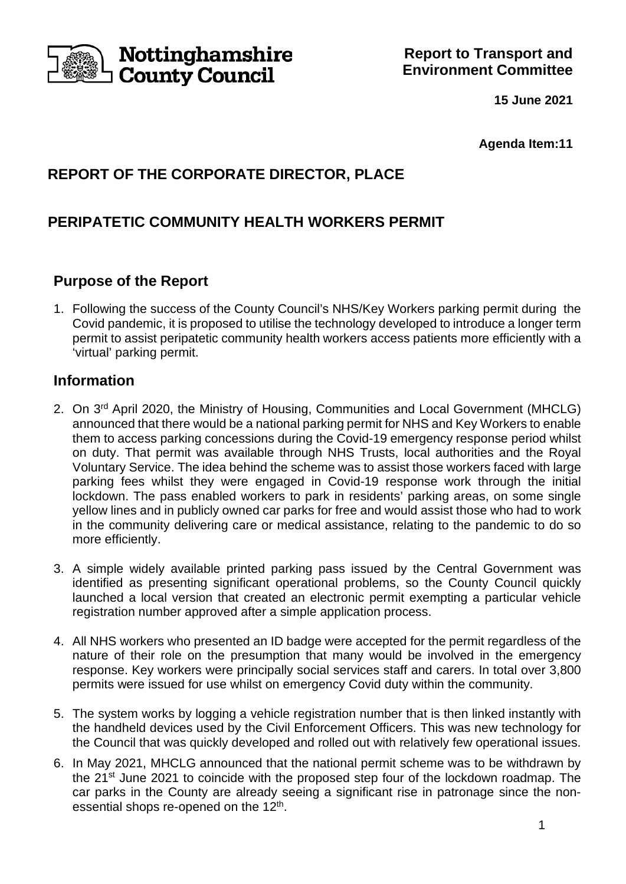

**15 June 2021**

**Agenda Item:11**

# **REPORT OF THE CORPORATE DIRECTOR, PLACE**

# **PERIPATETIC COMMUNITY HEALTH WORKERS PERMIT**

# **Purpose of the Report**

1. Following the success of the County Council's NHS/Key Workers parking permit during the Covid pandemic, it is proposed to utilise the technology developed to introduce a longer term permit to assist peripatetic community health workers access patients more efficiently with a 'virtual' parking permit.

## **Information**

- 2. On 3<sup>rd</sup> April 2020, the Ministry of Housing, Communities and Local Government (MHCLG) announced that there would be a national parking permit for NHS and Key Workers to enable them to access parking concessions during the Covid-19 emergency response period whilst on duty. That permit was available through NHS Trusts, local authorities and the Royal Voluntary Service. The idea behind the scheme was to assist those workers faced with large parking fees whilst they were engaged in Covid-19 response work through the initial lockdown. The pass enabled workers to park in residents' parking areas, on some single yellow lines and in publicly owned car parks for free and would assist those who had to work in the community delivering care or medical assistance, relating to the pandemic to do so more efficiently.
- 3. A simple widely available printed parking pass issued by the Central Government was identified as presenting significant operational problems, so the County Council quickly launched a local version that created an electronic permit exempting a particular vehicle registration number approved after a simple application process.
- 4. All NHS workers who presented an ID badge were accepted for the permit regardless of the nature of their role on the presumption that many would be involved in the emergency response. Key workers were principally social services staff and carers. In total over 3,800 permits were issued for use whilst on emergency Covid duty within the community.
- 5. The system works by logging a vehicle registration number that is then linked instantly with the handheld devices used by the Civil Enforcement Officers. This was new technology for the Council that was quickly developed and rolled out with relatively few operational issues.
- 6. In May 2021, MHCLG announced that the national permit scheme was to be withdrawn by the 21st June 2021 to coincide with the proposed step four of the lockdown roadmap. The car parks in the County are already seeing a significant rise in patronage since the nonessential shops re-opened on the 12<sup>th</sup>.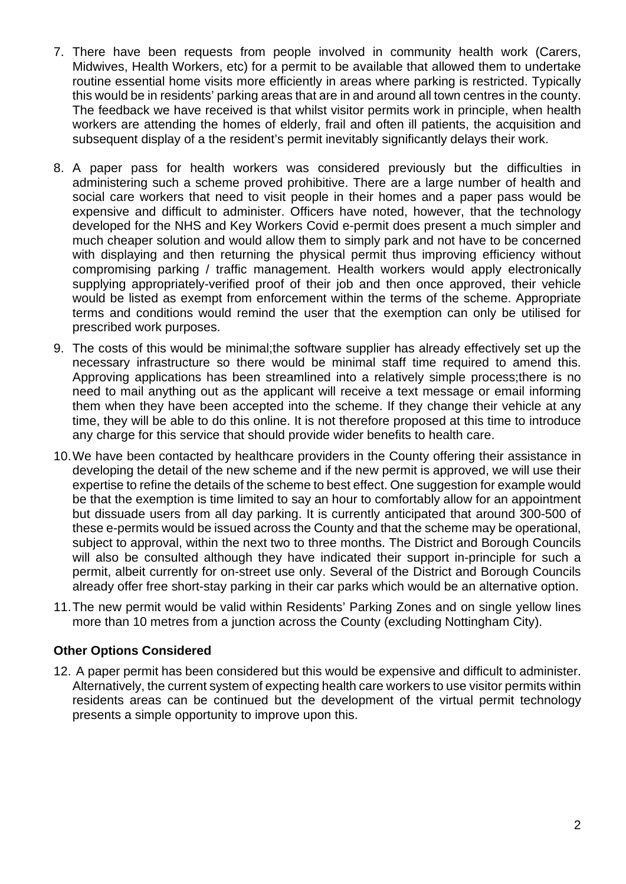- 7. There have been requests from people involved in community health work (Carers, Midwives, Health Workers, etc) for a permit to be available that allowed them to undertake routine essential home visits more efficiently in areas where parking is restricted. Typically this would be in residents' parking areas that are in and around all town centres in the county. The feedback we have received is that whilst visitor permits work in principle, when health workers are attending the homes of elderly, frail and often ill patients, the acquisition and subsequent display of a the resident's permit inevitably significantly delays their work.
- 8. A paper pass for health workers was considered previously but the difficulties in administering such a scheme proved prohibitive. There are a large number of health and social care workers that need to visit people in their homes and a paper pass would be expensive and difficult to administer. Officers have noted, however, that the technology developed for the NHS and Key Workers Covid e-permit does present a much simpler and much cheaper solution and would allow them to simply park and not have to be concerned with displaying and then returning the physical permit thus improving efficiency without compromising parking / traffic management. Health workers would apply electronically supplying appropriately-verified proof of their job and then once approved, their vehicle would be listed as exempt from enforcement within the terms of the scheme. Appropriate terms and conditions would remind the user that the exemption can only be utilised for prescribed work purposes.
- 9. The costs of this would be minimal;the software supplier has already effectively set up the necessary infrastructure so there would be minimal staff time required to amend this. Approving applications has been streamlined into a relatively simple process;there is no need to mail anything out as the applicant will receive a text message or email informing them when they have been accepted into the scheme. If they change their vehicle at any time, they will be able to do this online. It is not therefore proposed at this time to introduce any charge for this service that should provide wider benefits to health care.
- 10.We have been contacted by healthcare providers in the County offering their assistance in developing the detail of the new scheme and if the new permit is approved, we will use their expertise to refine the details of the scheme to best effect. One suggestion for example would be that the exemption is time limited to say an hour to comfortably allow for an appointment but dissuade users from all day parking. It is currently anticipated that around 300-500 of these e-permits would be issued across the County and that the scheme may be operational, subject to approval, within the next two to three months. The District and Borough Councils will also be consulted although they have indicated their support in-principle for such a permit, albeit currently for on-street use only. Several of the District and Borough Councils already offer free short-stay parking in their car parks which would be an alternative option.
- 11.The new permit would be valid within Residents' Parking Zones and on single yellow lines more than 10 metres from a junction across the County (excluding Nottingham City).

#### **Other Options Considered**

12. A paper permit has been considered but this would be expensive and difficult to administer. Alternatively, the current system of expecting health care workers to use visitor permits within residents areas can be continued but the development of the virtual permit technology presents a simple opportunity to improve upon this.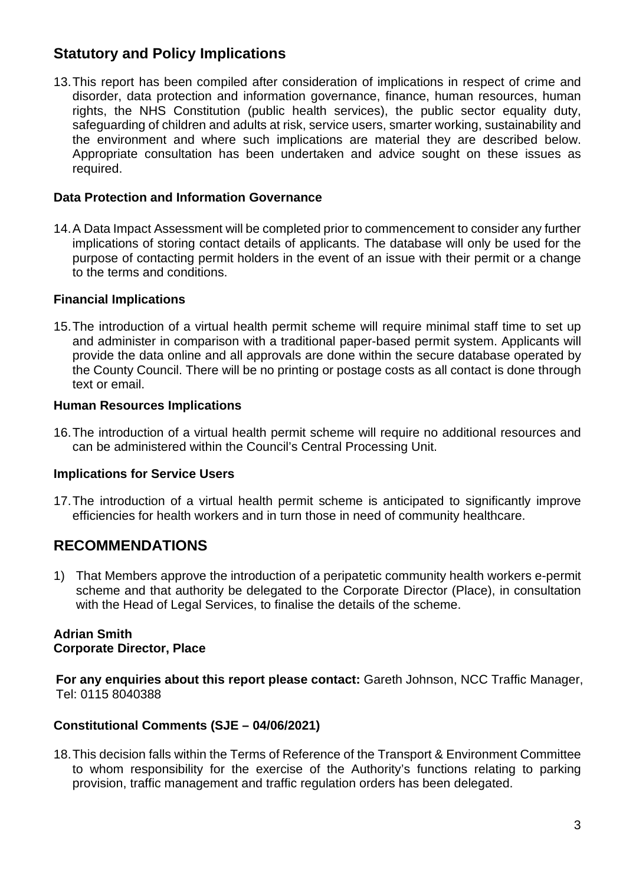# **Statutory and Policy Implications**

13.This report has been compiled after consideration of implications in respect of crime and disorder, data protection and information governance, finance, human resources, human rights, the NHS Constitution (public health services), the public sector equality duty, safeguarding of children and adults at risk, service users, smarter working, sustainability and the environment and where such implications are material they are described below. Appropriate consultation has been undertaken and advice sought on these issues as required.

#### **Data Protection and Information Governance**

14.A Data Impact Assessment will be completed prior to commencement to consider any further implications of storing contact details of applicants. The database will only be used for the purpose of contacting permit holders in the event of an issue with their permit or a change to the terms and conditions.

## **Financial Implications**

15.The introduction of a virtual health permit scheme will require minimal staff time to set up and administer in comparison with a traditional paper-based permit system. Applicants will provide the data online and all approvals are done within the secure database operated by the County Council. There will be no printing or postage costs as all contact is done through text or email.

#### **Human Resources Implications**

16.The introduction of a virtual health permit scheme will require no additional resources and can be administered within the Council's Central Processing Unit.

#### **Implications for Service Users**

17.The introduction of a virtual health permit scheme is anticipated to significantly improve efficiencies for health workers and in turn those in need of community healthcare.

# **RECOMMENDATIONS**

1) That Members approve the introduction of a peripatetic community health workers e-permit scheme and that authority be delegated to the Corporate Director (Place), in consultation with the Head of Legal Services, to finalise the details of the scheme.

#### **Adrian Smith Corporate Director, Place**

**For any enquiries about this report please contact:** Gareth Johnson, NCC Traffic Manager, Tel: 0115 8040388

#### **Constitutional Comments (SJE – 04/06/2021)**

18.This decision falls within the Terms of Reference of the Transport & Environment Committee to whom responsibility for the exercise of the Authority's functions relating to parking provision, traffic management and traffic regulation orders has been delegated.